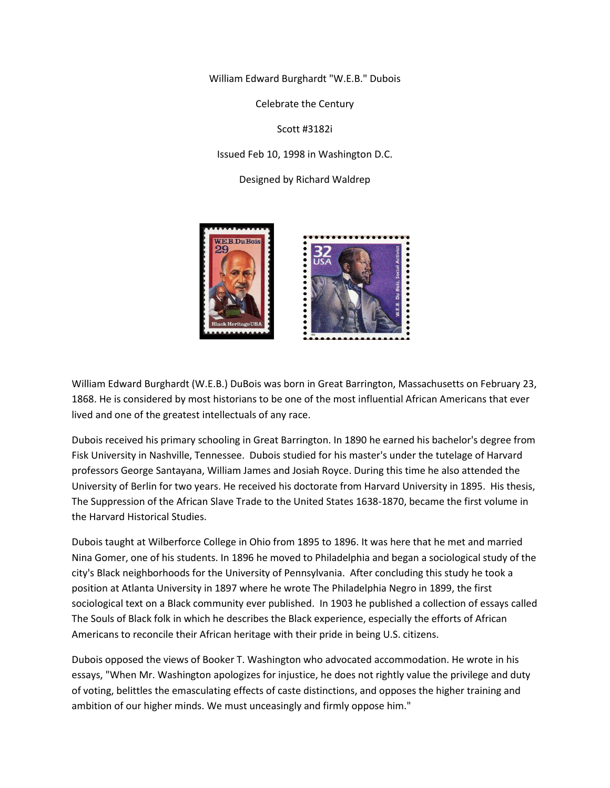William Edward Burghardt "W.E.B." Dubois

Celebrate the Century

Scott #3182i

Issued Feb 10, 1998 in Washington D.C.

Designed by Richard Waldrep



William Edward Burghardt (W.E.B.) DuBois was born in Great Barrington, Massachusetts on February 23, 1868. He is considered by most historians to be one of the most influential African Americans that ever lived and one of the greatest intellectuals of any race.

Dubois received his primary schooling in Great Barrington. In 1890 he earned his bachelor's degree from Fisk University in Nashville, Tennessee. Dubois studied for his master's under the tutelage of Harvard professors George Santayana, William James and Josiah Royce. During this time he also attended the University of Berlin for two years. He received his doctorate from Harvard University in 1895. His thesis, The Suppression of the African Slave Trade to the United States 1638-1870, became the first volume in the Harvard Historical Studies.

Dubois taught at Wilberforce College in Ohio from 1895 to 1896. It was here that he met and married Nina Gomer, one of his students. In 1896 he moved to Philadelphia and began a sociological study of the city's Black neighborhoods for the University of Pennsylvania. After concluding this study he took a position at Atlanta University in 1897 where he wrote The Philadelphia Negro in 1899, the first sociological text on a Black community ever published. In 1903 he published a collection of essays called The Souls of Black folk in which he describes the Black experience, especially the efforts of African Americans to reconcile their African heritage with their pride in being U.S. citizens.

Dubois opposed the views of Booker T. Washington who advocated accommodation. He wrote in his essays, "When Mr. Washington apologizes for injustice, he does not rightly value the privilege and duty of voting, belittles the emasculating effects of caste distinctions, and opposes the higher training and ambition of our higher minds. We must unceasingly and firmly oppose him."